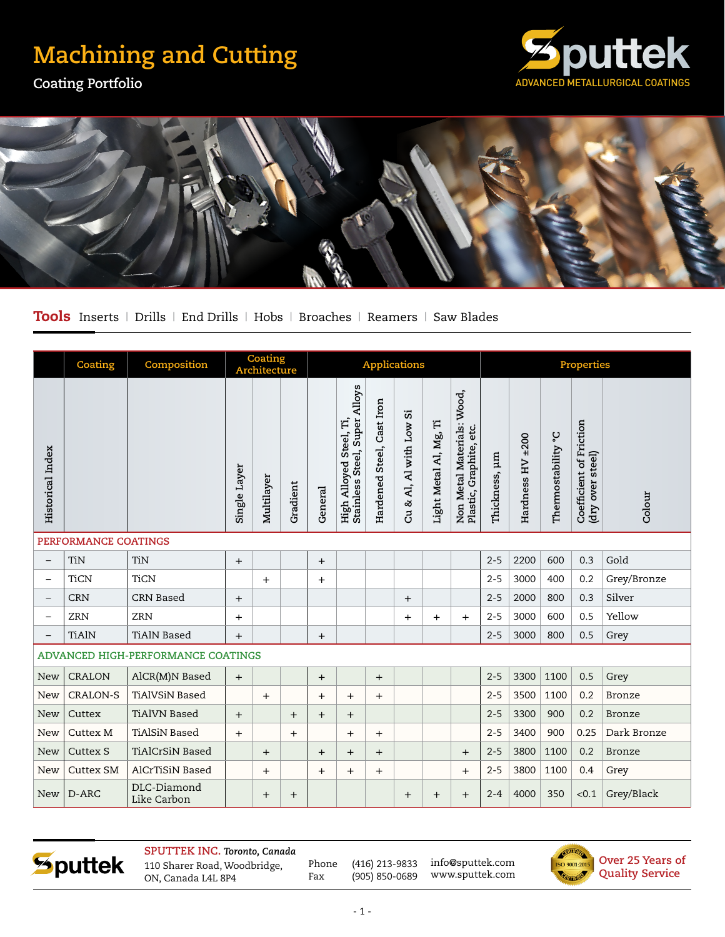## **Machining and Cutting**

**Coating Portfolio**





Tools Inserts | Drills | End Drills | Hobs | Broaches | Reamers | Saw Blades

|                                    | Coating          | Composition                |              | Coating<br>Architecture |          | <b>Applications</b> |                                                          |                           |                               |                        |                                                       | <b>Properties</b> |                  |                       |                                                |               |
|------------------------------------|------------------|----------------------------|--------------|-------------------------|----------|---------------------|----------------------------------------------------------|---------------------------|-------------------------------|------------------------|-------------------------------------------------------|-------------------|------------------|-----------------------|------------------------------------------------|---------------|
| <b>Historical</b> Index            |                  |                            | Single Layer | Multilayer              | Gradient | General             | Stainless Steel, Super Alloys<br>High Alloyed Steel, Ti, | Hardened Steel, Cast Iron | 5.<br>& Al, Al with Low<br>පි | Light Metal Al, Mg, Ti | Non Metal Materials: Wood,<br>Plastic, Graphite, etc. | Thickness, µm     | Hardness HV ±200 | ပ့<br>Thermostability | Coefficient of Friction<br>steel)<br>(dry over | Colour        |
| PERFORMANCE COATINGS               |                  |                            |              |                         |          |                     |                                                          |                           |                               |                        |                                                       |                   |                  |                       |                                                |               |
| $\overline{\phantom{0}}$           | <b>TiN</b>       | <b>TiN</b>                 | $+$          |                         |          | $+$                 |                                                          |                           |                               |                        |                                                       | $2 - 5$           | 2200             | 600                   | 0.3                                            | Gold          |
| $\overline{\phantom{0}}$           | <b>TiCN</b>      | <b>TiCN</b>                |              | $+$                     |          | $+$                 |                                                          |                           |                               |                        |                                                       | $2 - 5$           | 3000             | 400                   | 0.2                                            | Grey/Bronze   |
| $\overline{\phantom{0}}$           | <b>CRN</b>       | <b>CRN Based</b>           | $+$          |                         |          |                     |                                                          |                           | $+$                           |                        |                                                       | $2 - 5$           | 2000             | 800                   | 0.3                                            | Silver        |
| $\overline{\phantom{0}}$           | <b>ZRN</b>       | <b>ZRN</b>                 | $^{+}$       |                         |          |                     |                                                          |                           | $\ddot{}$                     | $+$                    | $\ddot{}$                                             | $2 - 5$           | 3000             | 600                   | 0.5                                            | Yellow        |
| $\overline{\phantom{0}}$           | <b>TiAlN</b>     | <b>TiAlN Based</b>         | $\ddot{}$    |                         |          | $+$                 |                                                          |                           |                               |                        |                                                       | $2 - 5$           | 3000             | 800                   | 0.5                                            | Grey          |
| ADVANCED HIGH-PERFORMANCE COATINGS |                  |                            |              |                         |          |                     |                                                          |                           |                               |                        |                                                       |                   |                  |                       |                                                |               |
| <b>New</b>                         | <b>CRALON</b>    | AlCR(M)N Based             | $+$          |                         |          | $+$                 |                                                          | $+$                       |                               |                        |                                                       | $2 - 5$           | 3300             | 1100                  | 0.5                                            | Grey          |
| <b>New</b>                         | <b>CRALON-S</b>  | <b>TiAlVSiN Based</b>      |              | $+$                     |          | $+$                 | $^{+}$                                                   | $^{+}$                    |                               |                        |                                                       | $2 - 5$           | 3500             | 1100                  | 0.2                                            | <b>Bronze</b> |
| <b>New</b>                         | Cuttex           | <b>TiAlVN Based</b>        | $+$          |                         | $+$      | $\overline{+}$      | $\ddot{}$                                                |                           |                               |                        |                                                       | $2 - 5$           | 3300             | 900                   | 0.2                                            | <b>Bronze</b> |
| <b>New</b>                         | <b>Cuttex M</b>  | <b>TiAlSiN Based</b>       | $^{+}$       |                         | $+$      |                     | $^{+}$                                                   | $+$                       |                               |                        |                                                       | $2 - 5$           | 3400             | 900                   | 0.25                                           | Dark Bronze   |
| <b>New</b>                         | <b>Cuttex S</b>  | <b>TiAlCrSiN Based</b>     |              | $+$                     |          | $+$                 | $+$                                                      | $+$                       |                               |                        | $+$                                                   | $2 - 5$           | 3800             | 1100                  | 0.2                                            | <b>Bronze</b> |
| New                                | <b>Cuttex SM</b> | AlCrTiSiN Based            |              | $\ddot{}$               |          | $+$                 | $^{+}$                                                   | $^{+}$                    |                               |                        | $\ddot{}$                                             | $2 - 5$           | 3800             | 1100                  | 0.4                                            | Grey          |
| <b>New</b>                         | D-ARC            | DLC-Diamond<br>Like Carbon |              | $+$                     | $+$      |                     |                                                          |                           | $+$                           | $+$                    | $+$                                                   | $2 - 4$           | 4000             | 350                   | < 0.1                                          | Grey/Black    |

Sputtek

**SPUTTEK INC.** *Toronto, Canada* 110 Sharer Road, Woodbridge, ON, Canada L4L 8P4

Phone (416) 213-9833 Fax (905) 850-0689 info@sputtek.com www.sputtek.com

**Over 25 Years of**  ISO 9001:2015 **Quality Service GALLER DES**